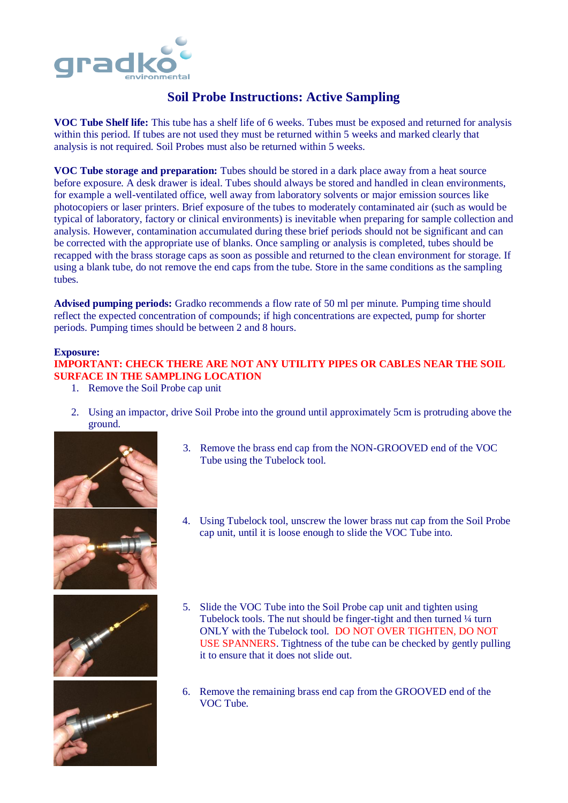

## **Soil Probe Instructions: Active Sampling**

**VOC Tube Shelf life:** This tube has a shelf life of 6 weeks. Tubes must be exposed and returned for analysis within this period. If tubes are not used they must be returned within 5 weeks and marked clearly that analysis is not required. Soil Probes must also be returned within 5 weeks.

**VOC Tube storage and preparation:** Tubes should be stored in a dark place away from a heat source before exposure. A desk drawer is ideal. Tubes should always be stored and handled in clean environments, for example a well-ventilated office, well away from laboratory solvents or major emission sources like photocopiers or laser printers. Brief exposure of the tubes to moderately contaminated air (such as would be typical of laboratory, factory or clinical environments) is inevitable when preparing for sample collection and analysis. However, contamination accumulated during these brief periods should not be significant and can be corrected with the appropriate use of blanks. Once sampling or analysis is completed, tubes should be recapped with the brass storage caps as soon as possible and returned to the clean environment for storage. If using a blank tube, do not remove the end caps from the tube. Store in the same conditions as the sampling tubes.

**Advised pumping periods:** Gradko recommends a flow rate of 50 ml per minute. Pumping time should reflect the expected concentration of compounds; if high concentrations are expected, pump for shorter periods. Pumping times should be between 2 and 8 hours.

## **Exposure:**

## **IMPORTANT: CHECK THERE ARE NOT ANY UTILITY PIPES OR CABLES NEAR THE SOIL SURFACE IN THE SAMPLING LOCATION**

- 1. Remove the Soil Probe cap unit
- 2. Using an impactor, drive Soil Probe into the ground until approximately 5cm is protruding above the ground.



3. Remove the brass end cap from the NON-GROOVED end of the VOC Tube using the Tubelock tool.







- 4. Using Tubelock tool, unscrew the lower brass nut cap from the Soil Probe cap unit, until it is loose enough to slide the VOC Tube into.
- 5. Slide the VOC Tube into the Soil Probe cap unit and tighten using Tubelock tools. The nut should be finger-tight and then turned ¼ turn ONLY with the Tubelock tool. DO NOT OVER TIGHTEN, DO NOT USE SPANNERS. Tightness of the tube can be checked by gently pulling it to ensure that it does not slide out.
- 6. Remove the remaining brass end cap from the GROOVED end of the VOC Tube.